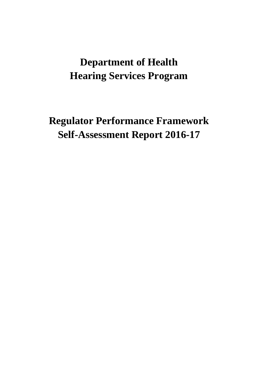# **Department of Health Hearing Services Program**

**Regulator Performance Framework Self-Assessment Report 2016-17**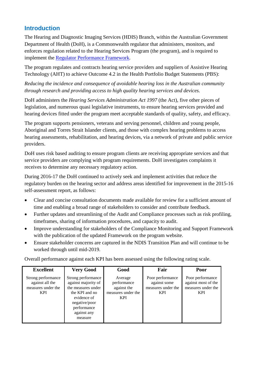### **Introduction**

The Hearing and Diagnostic Imaging Services (HDIS) Branch, within the Australian Government Department of Health (DoH), is a Commonwealth regulator that administers, monitors, and enforces regulation related to the Hearing Services Program (the program), and is required to implement the [Regulator Performance Framework.](https://www.cuttingredtape.gov.au/resources/rpf)

The program regulates and contracts hearing service providers and suppliers of Assistive Hearing Technology (AHT) to achieve Outcome 4.2 in the Health Portfolio Budget Statements (PBS):

*Reducing the incidence and consequence of avoidable hearing loss in the Australian community through research and providing access to high quality hearing services and devices.*

DoH administers the *Hearing Services Administration Act 1997* (the Act), five other pieces of legislation, and numerous quasi legislative instruments, to ensure hearing services provided and hearing devices fitted under the program meet acceptable standards of quality, safety, and efficacy.

The program supports pensioners, veterans and serving personnel, children and young people, Aboriginal and Torres Strait Islander clients, and those with complex hearing problems to access hearing assessments, rehabilitation, and hearing devices, via a network of private and public service providers.

DoH uses risk based auditing to ensure program clients are receiving appropriate services and that service providers are complying with program requirements. DoH investigates complaints it receives to determine any necessary regulatory action.

During 2016-17 the DoH continued to actively seek and implement activities that reduce the regulatory burden on the hearing sector and address areas identified for improvement in the 2015-16 self-assessment report, as follows:

- Clear and concise consultation documents made available for review for a sufficient amount of time and enabling a broad range of stakeholders to consider and contribute feedback.
- Further updates and streamlining of the Audit and Compliance processes such as risk profiling, timeframes, sharing of information procedures, and capacity to audit.
- Improve understanding for stakeholders of the Compliance Monitoring and Support Framework with the publication of the updated Framework on the program website.
- Ensure stakeholder concerns are captured in the NDIS Transition Plan and will continue to be worked through until mid-2019.

Overall performance against each KPI has been assessed using the following rating scale.

| <b>Excellent</b>                                                          | <b>Very Good</b>                                                                                                                                           | Good                                                                      | Fair                                                                 | Poor                                                                        |
|---------------------------------------------------------------------------|------------------------------------------------------------------------------------------------------------------------------------------------------------|---------------------------------------------------------------------------|----------------------------------------------------------------------|-----------------------------------------------------------------------------|
| Strong performance<br>against all the<br>measures under the<br><b>KPI</b> | Strong performance<br>against majority of<br>the measures under<br>the KPI and no<br>evidence of<br>negative/poor<br>performance<br>against any<br>measure | Average<br>performance<br>against the<br>measures under the<br><b>KPI</b> | Poor performance<br>against some<br>measures under the<br><b>KPI</b> | Poor performance<br>against most of the<br>measures under the<br><b>KPI</b> |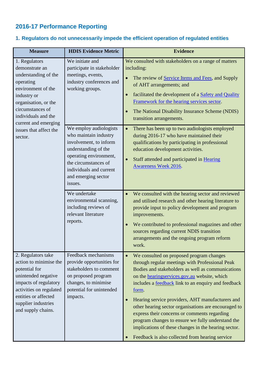### **2016-17 Performance Reporting**

#### **Measure HDIS Evidence Metric Evidence** 1. Regulators demonstrate an understanding of the operating environment of the industry or organisation, or the circumstances of individuals and the current and emerging issues that affect the sector. We initiate and participate in stakeholder meetings, events, industry conferences and working groups. We consulted with stakeholders on a range of matters including: The review of [Service Items and Fees,](http://www.hearingservices.gov.au/wps/portal/hso/site/about/national%20disability%20insurance%20scheme/review%20of%20services%20items%20and%20fees/!ut/p/a1/vZFLc4IwFIX_SrpwmUkKROOS8VW06nRqW2DjhBAkLSRIoq3_vmHGbX1smt3NnDnnfvegFMUoVewod8xKrVjVzWl_u3gh_ccIewv6vp7iMFy9Pc-ngYfXGH2gFKVc2caWKCmNBlwrK5Tt4eaQVZL3cKlr0cMs0wf3qc7GIJeGZbKS9gSkMoeWKS6A4aXoxK04SvENdAGMaI-SCwOkFbUBTOWgEMJ0oQ2XOUpYnw4opwHMic9hEJAMDv3ch0FBMGOEDLPccxSJo8B_vBDfBHlBgslZcCEicTsMth4dh0_D4DFaT6IJDkezzXxGI282Juj1TqjLhht8t-H82hncGeXnfp-GrvGu5R-L4v-r3KV77XK03DkoZksoVaFRfIs7iq-7N3VN_RP8KlYryDJ68qvdwy_w1DZq/dl5/d5/L2dBISEvZ0FBIS9nQSEh/) and Supply of AHT arrangements; and • facilitated the development of a Safety and Quality [Framework for the hearing services](http://www.hearingservices.gov.au/wps/portal/hso/site/about/whoarewe/service_delivery_framework/!ut/p/a1/rVFNc4IwEP0r7cFjJhuINB4Zv4pWmU5tC1yYAFFSgSBGrP_eMNMeS-tM97Y7-96-tw9HOMBRxVu541qqihddHznx8nnoEA-sJXvzZ-C669enxYxa4AN-xxGO0krXOsdhflR3qaq0qPQA6lNSyHQAuSrFAHiiTmZ4zhVvxNkMjqJpZSriTBSyFc0l3ja8FGfV7DvGOpUZDpMRZ4RTgojjUEQBADGWOSixKeNEMEpSy0gMjUT4oVz4k4OeFRh-LfScCI2Gh9hiE_dxRInnT70puOP5ZjFnnjWfDPHLjab6CTdwM-HitzeYN8qPwyFyTZxdhJ8aB_-Up6G2mtV4tTOKuc6RrLYKB99QHPRA67Jk9gXtt-s14gm72MXu_grpgi3e/dl5/d5/L2dBISEvZ0FBIS9nQSEh/) sector. • The National Disability Insurance Scheme (NDIS) transition arrangements. We employ audiologists who maintain industry involvement, to inform understanding of the operating environment, the circumstances of individuals and current and emerging sector issues. • There has been up to two audiologists employed during 2016-17 who have maintained their qualifications by participating in professional education development activities. • Staff attended and participated in Hearing [Awareness Week 2016.](http://www.health.gov.au/internet/ministers/publishing.nsf/Content/health-mediarel-yr2016-wyatt005.htm) We undertake environmental scanning, including reviews of relevant literature reports. • We consulted with the hearing sector and reviewed and utilised research and other hearing literature to provide input to policy development and program improvements. • We contributed to professional magazines and other sources regarding current NDIS transition arrangements and the ongoing program reform work. 2. Regulators take action to minimise the potential for unintended negative impacts of regulatory activities on regulated entities or affected supplier industries and supply chains. Feedback mechanisms provide opportunities for stakeholders to comment on proposed program changes, to minimise potential for unintended impacts. • We consulted on proposed program changes through regular meetings with Professional Peak Bodies and stakeholders as well as communications on the [hearingservices.gov.au](http://hearingservices.gov.au/wps/portal/hso/site/HSOHome/!ut/p/a1/04_Sj9CPykssy0xPLMnMz0vMAfGjzOK9A03NDD0NjLwtwvzdDBwd_UJ9vNxMjAy8DYAKIoEKDHAARwNC-sP1o_AqMTCFKsBjRUFuhEGmo6IiAGbW_L4!/dl5/d5/L2dBISEvZ0FBIS9nQSEh/) website, which includes a [feedback](http://www.hearingservices.gov.au/wps/portal/hso/site/eligibility/clientinfo/feedback%20and%20complaints/!ut/p/a1/rVLLbsIwEPwVeuBoeRPycI4WBRooQVVfSS7IcRLiktghuAj-Hkeq1BNQpPq28uzs7M7gFMc4lewgNkwLJVnd16m3Xry4nhWCvSAfqylQGr0_z6eODdTCnzjFKZe61RVOqr0acCV1IfUQ2u-sFnwIlWqKIZSqGxSHojspaSpeC4MRslTmpyjyjPHtgMncdDdtzYTU-5635SLHiQt54BIPkOORHDkMLJQ5I45I5npBXvp2AI4RmhihcOFR-NMeVyDg_gCujEiMBn9tk0f6FDhWuJqEE6Dj2dt8RkJ75lv49c6lbhD6dxPOb53BnNHuluPlxtAyXaHeIhz_2oXjS3aZTvG126XUxKGPwFHj-F_z0DYNGZ3QtowixDJyOrrJwxn_YA8n/dl5/d5/L2dBISEvZ0FBIS9nQSEh/) link to an enquiry and feedback [form.](http://www.hearingservices.gov.au/wps/wcm/connect/hso/hso+content/public/webform/feedbackform) • Hearing service providers, AHT manufacturers and other hearing sector organisations are encouraged to express their concerns or comments regarding program changes to ensure we fully understand the implications of these changes in the hearing sector. Feedback is also collected from hearing service

#### **1. Regulators do not unnecessarily impede the efficient operation of regulated entities**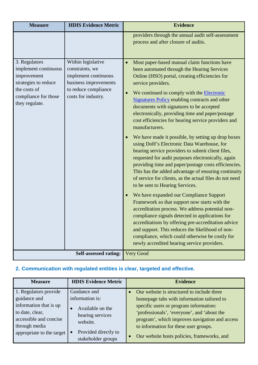| <b>Measure</b>                                                                                                                         | <b>HDIS Evidence Metric</b>                                                                                                           | <b>Evidence</b>                                                                                                                                                                                                                                                                                                                                                                                                                                                                                                                                                                                                                                                                                                                                                                                                                                                                                                                                                                                                                                                                                                                                                                                                                                                                                                           |
|----------------------------------------------------------------------------------------------------------------------------------------|---------------------------------------------------------------------------------------------------------------------------------------|---------------------------------------------------------------------------------------------------------------------------------------------------------------------------------------------------------------------------------------------------------------------------------------------------------------------------------------------------------------------------------------------------------------------------------------------------------------------------------------------------------------------------------------------------------------------------------------------------------------------------------------------------------------------------------------------------------------------------------------------------------------------------------------------------------------------------------------------------------------------------------------------------------------------------------------------------------------------------------------------------------------------------------------------------------------------------------------------------------------------------------------------------------------------------------------------------------------------------------------------------------------------------------------------------------------------------|
|                                                                                                                                        |                                                                                                                                       | providers through the annual audit self-assessment<br>process and after closure of audits.                                                                                                                                                                                                                                                                                                                                                                                                                                                                                                                                                                                                                                                                                                                                                                                                                                                                                                                                                                                                                                                                                                                                                                                                                                |
| 3. Regulators<br>implement continuous<br>improvement<br>strategies to reduce<br>the costs of<br>compliance for those<br>they regulate. | Within legislative<br>constraints, we<br>implement continuous<br>business improvements<br>to reduce compliance<br>costs for industry. | Most paper-based manual claim functions have<br>$\bullet$<br>been automated through the Hearing Services<br>Online (HSO) portal, creating efficiencies for<br>service providers.<br>We continued to comply with the <b>Electronic</b><br>$\bullet$<br>Signatures Policy enabling contracts and other<br>documents with signatures to be accepted<br>electronically, providing time and paper/postage<br>cost efficiencies for hearing service providers and<br>manufacturers.<br>We have made it possible, by setting up drop boxes<br>using DoH's Electronic Data Warehouse, for<br>hearing service providers to submit client files,<br>requested for audit purposes electronically, again<br>providing time and paper/postage costs efficiencies.<br>This has the added advantage of ensuring continuity<br>of service for clients, as the actual files do not need<br>to be sent to Hearing Services.<br>We have expanded our Compliance Support<br>Framework so that support now starts with the<br>accreditation process. We address potential non-<br>compliance signals detected in applications for<br>accreditations by offering pre-accreditation advice<br>and support. This reduces the likelihood of non-<br>compliance, which could otherwise be costly for<br>newly accredited hearing service providers. |
|                                                                                                                                        | <b>Self-assessed rating:</b>                                                                                                          | Very Good                                                                                                                                                                                                                                                                                                                                                                                                                                                                                                                                                                                                                                                                                                                                                                                                                                                                                                                                                                                                                                                                                                                                                                                                                                                                                                                 |

# **2. Communication with regulated entities is clear, targeted and effective.**

| <b>Measure</b>            | <b>HDIS Evidence Metric</b> | <b>Evidence</b>                                |
|---------------------------|-----------------------------|------------------------------------------------|
| 1. Regulators provide     | Guidance and                | Our website is structured to include three     |
| guidance and              | information is:             | homepage tabs with information tailored to     |
| information that is up    | Available on the            | specific users or program information:         |
| to date, clear,           | hearing services            | 'professionals', 'everyone', and 'about the    |
| accessible and concise    | website.                    | program', which improves navigation and access |
| through media             |                             | to information for these user groups.          |
| appropriate to the target | Provided directly to        | Our website hosts policies, frameworks, and    |
|                           | stakeholder groups          |                                                |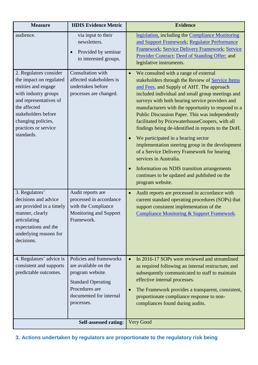| <b>Measure</b>                                                                                                                                                                                                                | <b>HDIS Evidence Metric</b>                                                                                                                                 | <b>Evidence</b>                                                                                                                                                                                                                                                                                                                                                                                                                                                                                                                                                                                                                                                                                                                                         |
|-------------------------------------------------------------------------------------------------------------------------------------------------------------------------------------------------------------------------------|-------------------------------------------------------------------------------------------------------------------------------------------------------------|---------------------------------------------------------------------------------------------------------------------------------------------------------------------------------------------------------------------------------------------------------------------------------------------------------------------------------------------------------------------------------------------------------------------------------------------------------------------------------------------------------------------------------------------------------------------------------------------------------------------------------------------------------------------------------------------------------------------------------------------------------|
| audience.                                                                                                                                                                                                                     | via input to their<br>newsletters.<br>Provided by seminar<br>to interested groups.                                                                          | legislation, including the Compliance Monitoring<br>and Support Framework; Regulator Performance<br>Framework; Service Delivery Framework; Service<br>Provider Contract; Deed of Standing Offer; and<br>legislative instruments.                                                                                                                                                                                                                                                                                                                                                                                                                                                                                                                        |
| 2. Regulators consider<br>the impact on regulated<br>entities and engage<br>with industry groups<br>and representatives of<br>the affected<br>stakeholders before<br>changing policies,<br>practices or service<br>standards. | Consultation with<br>affected stakeholders is<br>undertaken before<br>processes are changed.                                                                | We consulted with a range of external<br>stakeholders through the Review of Service Items<br>and Fees, and Supply of AHT. The approach<br>included individual and small group meetings and<br>surveys with both hearing service providers and<br>manufacturers with the opportunity to respond to a<br>Public Discussion Paper. This was independently<br>facilitated by PricewaterhouseCoopers, with all<br>findings being de-identified in reports to the DoH.<br>We participated in a hearing sector<br>implementation steering group in the development<br>of a Service Delivery Framework for hearing<br>services in Australia.<br>Information on NDIS transition arrangements<br>continues to be updated and published on the<br>program website. |
| 3. Regulators'<br>decisions and advice<br>are provided in a timely<br>manner, clearly<br>articulating<br>expectations and the<br>underlying reasons for<br>decisions.                                                         | Audit reports are<br>processed in accordance<br>with the Compliance<br>Monitoring and Support<br>Framework.                                                 | Audit reports are processed in accordance with<br>current standard operating procedures (SOPs) that<br>support consistent implementation of the<br>Compliance Monitoring & Support Framework.                                                                                                                                                                                                                                                                                                                                                                                                                                                                                                                                                           |
| 4. Regulators' advice is<br>consistent and supports<br>predictable outcomes.                                                                                                                                                  | Policies and frameworks<br>are available on the<br>program website.<br><b>Standard Operating</b><br>Procedures are<br>documented for internal<br>processes. | In 2016-17 SOPs were reviewed and streamlined<br>as required following an internal restructure, and<br>subsequently communicated to staff to maintain<br>effective internal processes.<br>The Framework provides a transparent, consistent,<br>proportionate compliance response to non-<br>compliances found during audits.                                                                                                                                                                                                                                                                                                                                                                                                                            |
|                                                                                                                                                                                                                               | <b>Self-assessed rating:</b>                                                                                                                                | <b>Very Good</b>                                                                                                                                                                                                                                                                                                                                                                                                                                                                                                                                                                                                                                                                                                                                        |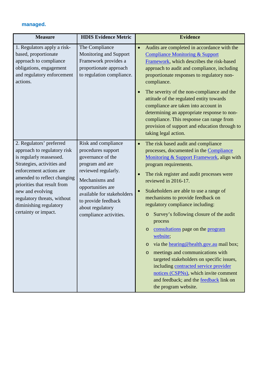#### **managed.**

| <b>Measure</b>                                                                                                                                                                                                                                                                                                  | <b>HDIS Evidence Metric</b>                                                                                                                                                                                                                        | <b>Evidence</b>                                                                                                                                                                                                                                                                                                                                                                                                                                                                                                                                                                                                                                                                                                                                                                           |
|-----------------------------------------------------------------------------------------------------------------------------------------------------------------------------------------------------------------------------------------------------------------------------------------------------------------|----------------------------------------------------------------------------------------------------------------------------------------------------------------------------------------------------------------------------------------------------|-------------------------------------------------------------------------------------------------------------------------------------------------------------------------------------------------------------------------------------------------------------------------------------------------------------------------------------------------------------------------------------------------------------------------------------------------------------------------------------------------------------------------------------------------------------------------------------------------------------------------------------------------------------------------------------------------------------------------------------------------------------------------------------------|
| 1. Regulators apply a risk-<br>based, proportionate<br>approach to compliance<br>obligations, engagement<br>and regulatory enforcement<br>actions.                                                                                                                                                              | The Compliance<br>Monitoring and Support<br>Framework provides a<br>proportionate approach<br>to regulation compliance.                                                                                                                            | Audits are completed in accordance with the<br><b>Compliance Monitoring &amp; Support</b><br>Framework, which describes the risk-based<br>approach to audit and compliance, including<br>proportionate responses to regulatory non-<br>compliance.<br>The severity of the non-compliance and the<br>attitude of the regulated entity towards<br>compliance are taken into account in<br>determining an appropriate response to non-<br>compliance. This response can range from<br>provision of support and education through to<br>taking legal action.                                                                                                                                                                                                                                  |
| 2. Regulators' preferred<br>approach to regulatory risk<br>is regularly reassessed.<br>Strategies, activities and<br>enforcement actions are<br>amended to reflect changing<br>priorities that result from<br>new and evolving<br>regulatory threats, without<br>diminishing regulatory<br>certainty or impact. | Risk and compliance<br>procedures support<br>governance of the<br>program and are<br>reviewed regularly.<br>Mechanisms and<br>opportunities are<br>available for stakeholders<br>to provide feedback<br>about regulatory<br>compliance activities. | The risk based audit and compliance<br>$\bullet$<br>processes, documented in the Compliance<br>Monitoring & Support Framework, align with<br>program requirements.<br>The risk register and audit processes were<br>reviewed in 2016-17.<br>Stakeholders are able to use a range of<br>mechanisms to provide feedback on<br>regulatory compliance including:<br>Survey's following closure of the audit<br>$\circ$<br>process<br>consultations page on the program<br>O<br>website;<br>via the hearing@health.gov.au mail box;<br>$\circ$<br>meetings and communications with<br>$\circ$<br>targeted stakeholders on specific issues,<br>including contracted service provider<br>notices (CSPNs), which invite comment<br>and feedback; and the feedback link on<br>the program website. |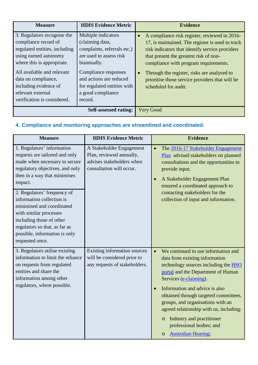| <b>Measure</b>                                                                                                                                                                                                                                                                | <b>HDIS Evidence Metric</b>                                                                                                                                                                                                       | <b>Evidence</b>                                                                                                                                                                                                                                                                                                                                                                |
|-------------------------------------------------------------------------------------------------------------------------------------------------------------------------------------------------------------------------------------------------------------------------------|-----------------------------------------------------------------------------------------------------------------------------------------------------------------------------------------------------------------------------------|--------------------------------------------------------------------------------------------------------------------------------------------------------------------------------------------------------------------------------------------------------------------------------------------------------------------------------------------------------------------------------|
| 3. Regulators recognise the<br>compliance record of<br>regulated entities, including<br>using earned autonomy<br>where this is appropriate.<br>All available and relevant<br>data on compliance,<br>including evidence of<br>relevant external<br>verification is considered. | Multiple indicators<br>(claiming data,<br>complaints, referrals etc.)<br>are used to assess risk<br>biannually.<br>Compliance responses<br>and actions are reduced<br>for regulated entities with<br>a good compliance<br>record. | A compliance risk register, reviewed in 2016-<br>$\bullet$<br>17, is maintained. The register is used to track<br>risk indicators that identify service providers<br>that present the greatest risk of non-<br>compliance with program requirements.<br>Through the register, risks are analysed to<br>prioritise those service providers that will be<br>scheduled for audit. |
| <b>Self-assessed rating:</b>                                                                                                                                                                                                                                                  |                                                                                                                                                                                                                                   | Very Good                                                                                                                                                                                                                                                                                                                                                                      |

# **4. Compliance and monitoring approaches are streamlined and coordinated.**

| <b>Measure</b>                                                                                                                                                                                                                                                                                                                                                                                                  | <b>HDIS Evidence Metric</b>                                                                                   | <b>Evidence</b>                                                                                                                                                                                                                                                                                                                                                                                                                                                    |
|-----------------------------------------------------------------------------------------------------------------------------------------------------------------------------------------------------------------------------------------------------------------------------------------------------------------------------------------------------------------------------------------------------------------|---------------------------------------------------------------------------------------------------------------|--------------------------------------------------------------------------------------------------------------------------------------------------------------------------------------------------------------------------------------------------------------------------------------------------------------------------------------------------------------------------------------------------------------------------------------------------------------------|
| 1. Regulators' information<br>requests are tailored and only<br>made when necessary to secure<br>regulatory objectives, and only<br>then in a way that minimises<br>impact.<br>2. Regulators' frequency of<br>information collection is<br>minimised and coordinated<br>with similar processes<br>including those of other<br>regulators so that, as far as<br>possible, information is only<br>requested once. | A Stakeholder Engagement<br>Plan, reviewed annually,<br>advises stakeholders when<br>consultation will occur. | The 2016-17 Stakeholder Engagement<br>$\bullet$<br>Plan advised stakeholders on planned<br>consultations and the opportunities to<br>provide input.<br>A Stakeholder Engagement Plan<br>$\bullet$<br>ensured a coordinated approach to<br>contacting stakeholders for the<br>collection of input and information.                                                                                                                                                  |
| 3. Regulators utilise existing<br>information to limit the reliance<br>on requests from regulated<br>entities and share the<br>information among other<br>regulators, where possible.                                                                                                                                                                                                                           | <b>Existing information sources</b><br>will be considered prior to<br>any requests of stakeholders.           | We continued to use information and<br>data from existing information<br>technology sources including the HSO<br>portal and the Department of Human<br>Services (e-claiming).<br>Information and advice is also<br>$\bullet$<br>obtained through targeted committees,<br>groups, and organisations with an<br>agreed relationship with us, including:<br>Industry and practitioner<br>$\circ$<br>professional bodies; and<br><b>Australian Hearing;</b><br>$\circ$ |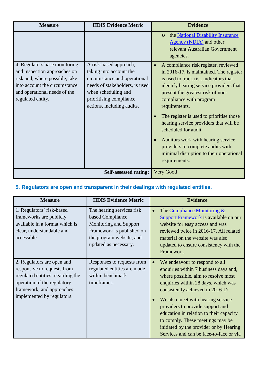| <b>Measure</b>                                                                                                                                                                        | <b>HDIS Evidence Metric</b>                                                                                                                                                                         | <b>Evidence</b>                                                                                                                                                                                                                                                                                                                                                                                                                                                                                          |
|---------------------------------------------------------------------------------------------------------------------------------------------------------------------------------------|-----------------------------------------------------------------------------------------------------------------------------------------------------------------------------------------------------|----------------------------------------------------------------------------------------------------------------------------------------------------------------------------------------------------------------------------------------------------------------------------------------------------------------------------------------------------------------------------------------------------------------------------------------------------------------------------------------------------------|
|                                                                                                                                                                                       |                                                                                                                                                                                                     | the National Disability Insurance<br>$\circ$<br>Agency (NDIA) and other<br>relevant Australian Government<br>agencies.                                                                                                                                                                                                                                                                                                                                                                                   |
| 4. Regulators base monitoring<br>and inspection approaches on<br>risk and, where possible, take<br>into account the circumstance<br>and operational needs of the<br>regulated entity. | A risk-based approach,<br>taking into account the<br>circumstance and operational<br>needs of stakeholders, is used<br>when scheduling and<br>prioritising compliance<br>actions, including audits. | A compliance risk register, reviewed<br>in 2016-17, is maintained. The register<br>is used to track risk indicators that<br>identify hearing service providers that<br>present the greatest risk of non-<br>compliance with program<br>requirements.<br>The register is used to prioritise those<br>hearing service providers that will be<br>scheduled for audit<br>Auditors work with hearing service<br>providers to complete audits with<br>minimal disruption to their operational<br>requirements. |
| <b>Self-assessed rating:</b>                                                                                                                                                          |                                                                                                                                                                                                     | <b>Very Good</b>                                                                                                                                                                                                                                                                                                                                                                                                                                                                                         |

# **5. Regulators are open and transparent in their dealings with regulated entities.**

| <b>Measure</b>                                                                                                                                                                          | <b>HDIS Evidence Metric</b>                                                                                                                                      | <b>Evidence</b>                                                                                                                                                                                                                                                                                                                                                                                                                          |
|-----------------------------------------------------------------------------------------------------------------------------------------------------------------------------------------|------------------------------------------------------------------------------------------------------------------------------------------------------------------|------------------------------------------------------------------------------------------------------------------------------------------------------------------------------------------------------------------------------------------------------------------------------------------------------------------------------------------------------------------------------------------------------------------------------------------|
| 1. Regulators' risk-based<br>frameworks are publicly<br>available in a format which is<br>clear, understandable and<br>accessible.                                                      | The hearing services risk<br>based Compliance<br><b>Monitoring and Support</b><br>Framework is published on<br>the program website, and<br>updated as necessary. | The Compliance Monitoring &<br><b>Support Framework</b> is available on our<br>website for easy access and was<br>reviewed twice in 2016-17. All related<br>material on the website was also<br>updated to ensure consistency with the<br>Framework.                                                                                                                                                                                     |
| 2. Regulators are open and<br>responsive to requests from<br>regulated entities regarding the<br>operation of the regulatory<br>framework, and approaches<br>implemented by regulators. | Responses to requests from<br>regulated entities are made<br>within benchmark<br>timeframes.                                                                     | We endeavour to respond to all<br>enquiries within 7 business days and,<br>where possible, aim to resolve most<br>enquiries within 28 days, which was<br>consistently achieved in 2016-17.<br>We also meet with hearing service<br>providers to provide support and<br>education in relation to their capacity<br>to comply. These meetings may be<br>initiated by the provider or by Hearing<br>Services and can be face-to-face or via |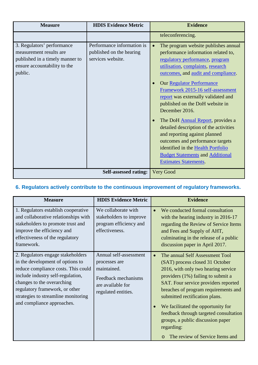| <b>Measure</b>                                                                                                                      | <b>HDIS Evidence Metric</b>                                                 | <b>Evidence</b>                                                                                                                                                                                                                                                                                                                                                                                                                                                                                                                                                                                                                                                 |
|-------------------------------------------------------------------------------------------------------------------------------------|-----------------------------------------------------------------------------|-----------------------------------------------------------------------------------------------------------------------------------------------------------------------------------------------------------------------------------------------------------------------------------------------------------------------------------------------------------------------------------------------------------------------------------------------------------------------------------------------------------------------------------------------------------------------------------------------------------------------------------------------------------------|
|                                                                                                                                     |                                                                             | teleconferencing.                                                                                                                                                                                                                                                                                                                                                                                                                                                                                                                                                                                                                                               |
| 3. Regulators' performance<br>measurement results are<br>published in a timely manner to<br>ensure accountability to the<br>public. | Performance information is<br>published on the hearing<br>services website. | The program website publishes annual<br>$\bullet$<br>performance information related to,<br>regulatory performance, program<br>utilisation, complaints, research<br>outcomes, and audit and compliance.<br><b>Our Regulator Performance</b><br>$\bullet$<br>Framework 2015-16 self-assessment<br>report was externally validated and<br>published on the DoH website in<br>December 2016.<br>The DoH Annual Report, provides a<br>detailed description of the activities<br>and reporting against planned<br>outcomes and performance targets<br>identified in the Health Portfolio<br><b>Budget Statements and Additional</b><br><b>Estimates Statements</b> . |
| <b>Self-assessed rating:</b>                                                                                                        |                                                                             | Very Good                                                                                                                                                                                                                                                                                                                                                                                                                                                                                                                                                                                                                                                       |

# **6. Regulators actively contribute to the continuous improvement of regulatory frameworks.**

| <b>Measure</b>                                                                                                                                                                                                                                                                         | <b>HDIS Evidence Metric</b>                                                                                               | <b>Evidence</b>                                                                                                                                                                                                                                                                                                                                                                                                                                                         |
|----------------------------------------------------------------------------------------------------------------------------------------------------------------------------------------------------------------------------------------------------------------------------------------|---------------------------------------------------------------------------------------------------------------------------|-------------------------------------------------------------------------------------------------------------------------------------------------------------------------------------------------------------------------------------------------------------------------------------------------------------------------------------------------------------------------------------------------------------------------------------------------------------------------|
| 1. Regulators establish cooperative<br>and collaborative relationships with<br>stakeholders to promote trust and<br>improve the efficiency and<br>effectiveness of the regulatory<br>framework.                                                                                        | We collaborate with<br>stakeholders to improve<br>program efficiency and<br>effectiveness.                                | We conducted formal consultation<br>with the hearing industry in 2016-17<br>regarding the Review of Service Items<br>and Fees and Supply of AHT,<br>culminating in the release of a public<br>discussion paper in April 2017.                                                                                                                                                                                                                                           |
| 2. Regulators engage stakeholders<br>in the development of options to<br>reduce compliance costs. This could<br>include industry self-regulation,<br>changes to the overarching<br>regulatory framework, or other<br>strategies to streamline monitoring<br>and compliance approaches. | Annual self-assessment<br>processes are<br>maintained.<br>Feedback mechanisms<br>are available for<br>regulated entities. | The annual Self Assessment Tool<br>$\bullet$<br>(SAT) process closed 31 October<br>2016, with only two hearing service<br>providers (1%) failing to submit a<br><b>SAT.</b> Four service providers reported<br>breaches of program requirements and<br>submitted rectification plans.<br>We facilitated the opportunity for<br>feedback through targeted consultation<br>groups, a public discussion paper<br>regarding:<br>The review of Service Items and<br>$\Omega$ |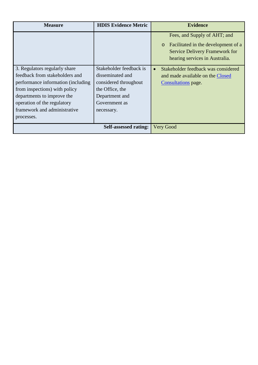| <b>Measure</b>                                                                                                                                                                                                                                     | <b>HDIS Evidence Metric</b>                                                                                                              | <b>Evidence</b>                                                                                                                                |
|----------------------------------------------------------------------------------------------------------------------------------------------------------------------------------------------------------------------------------------------------|------------------------------------------------------------------------------------------------------------------------------------------|------------------------------------------------------------------------------------------------------------------------------------------------|
|                                                                                                                                                                                                                                                    |                                                                                                                                          | Fees, and Supply of AHT; and<br>Facilitated in the development of a<br><b>Service Delivery Framework for</b><br>hearing services in Australia. |
| 3. Regulators regularly share<br>feedback from stakeholders and<br>performance information (including)<br>from inspections) with policy<br>departments to improve the<br>operation of the regulatory<br>framework and administrative<br>processes. | Stakeholder feedback is<br>disseminated and<br>considered throughout<br>the Office, the<br>Department and<br>Government as<br>necessary. | Stakeholder feedback was considered<br>$\bullet$<br>and made available on the Closed<br>Consultations page.                                    |
| <b>Self-assessed rating:</b>                                                                                                                                                                                                                       |                                                                                                                                          | Very Good                                                                                                                                      |